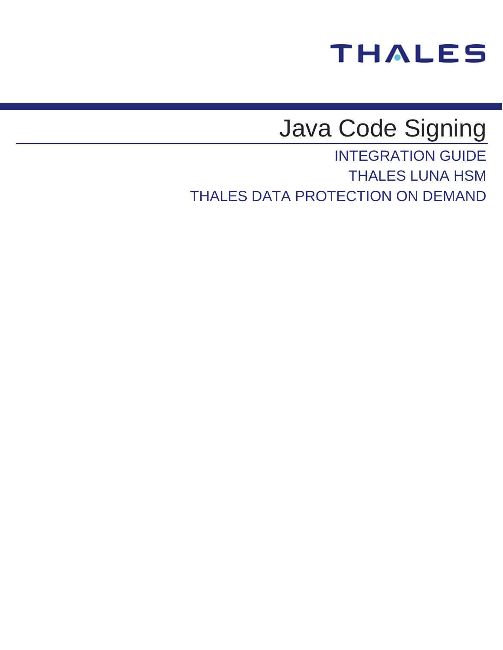# **THALES**

# Java Code Signing

INTEGRATION GUIDE THALES LUNA HSM THALES DATA PROTECTION ON DEMAND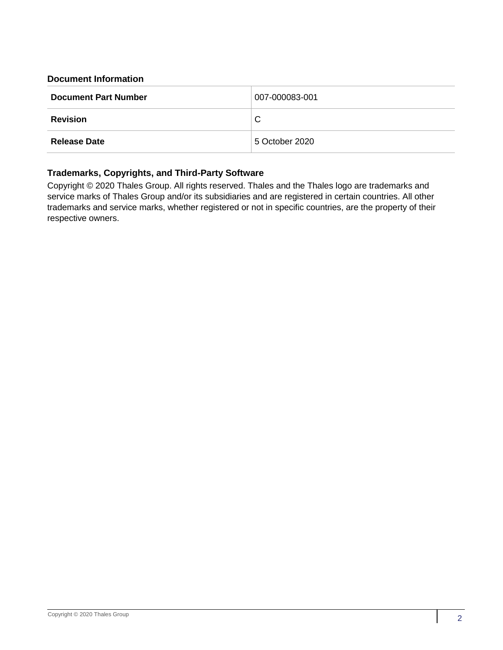## **Document Information**

| <b>Document Part Number</b> | 007-000083-001 |
|-----------------------------|----------------|
| <b>Revision</b>             | C              |
| <b>Release Date</b>         | 5 October 2020 |

## **Trademarks, Copyrights, and Third-Party Software**

Copyright © 2020 Thales Group. All rights reserved. Thales and the Thales logo are trademarks and service marks of Thales Group and/or its subsidiaries and are registered in certain countries. All other trademarks and service marks, whether registered or not in specific countries, are the property of their respective owners.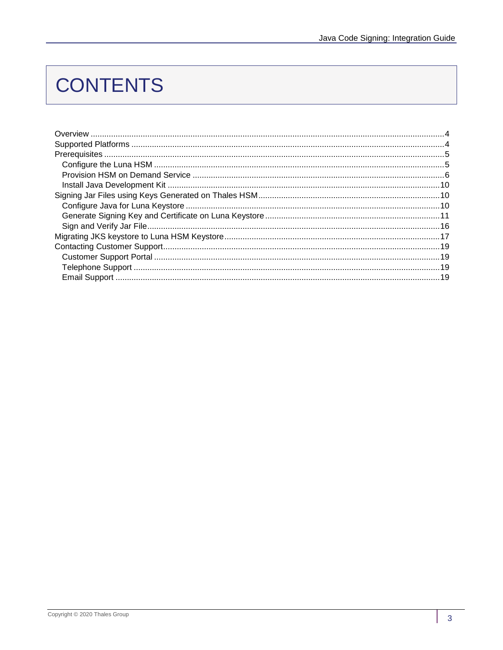# **CONTENTS**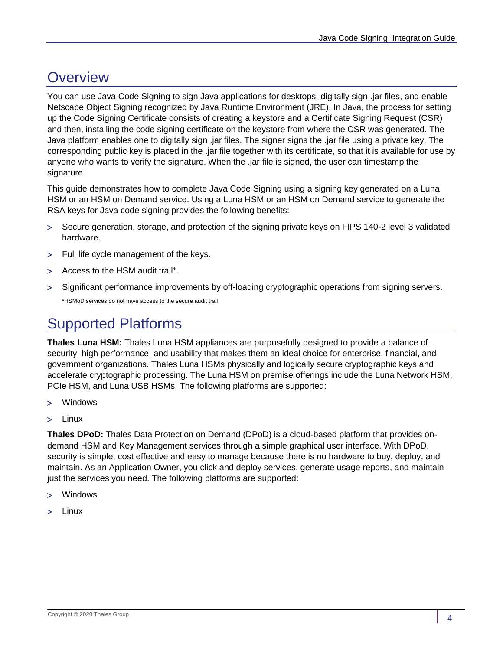# <span id="page-3-0"></span>**Overview**

You can use Java Code Signing to sign Java applications for desktops, digitally sign .jar files, and enable Netscape Object Signing recognized by Java Runtime Environment (JRE). In Java, the process for setting up the Code Signing Certificate consists of creating a keystore and a Certificate Signing Request (CSR) and then, installing the code signing certificate on the keystore from where the CSR was generated. The Java platform enables one to digitally sign .jar files. The signer signs the .jar file using a private key. The corresponding public key is placed in the .jar file together with its certificate, so that it is available for use by anyone who wants to verify the signature. When the .jar file is signed, the user can timestamp the signature.

This guide demonstrates how to complete Java Code Signing using a signing key generated on a Luna HSM or an HSM on Demand service. Using a Luna HSM or an HSM on Demand service to generate the RSA keys for Java code signing provides the following benefits:

- Secure generation, storage, and protection of the signing private keys on FIPS 140-2 level 3 validated hardware.
- Full life cycle management of the keys.
- Access to the HSM audit trail\*.
- > Significant performance improvements by off-loading cryptographic operations from signing servers. \*HSMoD services do not have access to the secure audit trail

# <span id="page-3-1"></span>Supported Platforms

**Thales Luna HSM:** Thales Luna HSM appliances are purposefully designed to provide a balance of security, high performance, and usability that makes them an ideal choice for enterprise, financial, and government organizations. Thales Luna HSMs physically and logically secure cryptographic keys and accelerate cryptographic processing. The Luna HSM on premise offerings include the Luna Network HSM, PCIe HSM, and Luna USB HSMs. The following platforms are supported:

- Windows
- > Linux

**Thales DPoD:** Thales Data Protection on Demand (DPoD) is a cloud-based platform that provides ondemand HSM and Key Management services through a simple graphical user interface. With DPoD, security is simple, cost effective and easy to manage because there is no hardware to buy, deploy, and maintain. As an Application Owner, you click and deploy services, generate usage reports, and maintain just the services you need. The following platforms are supported:

- Windows
- Linux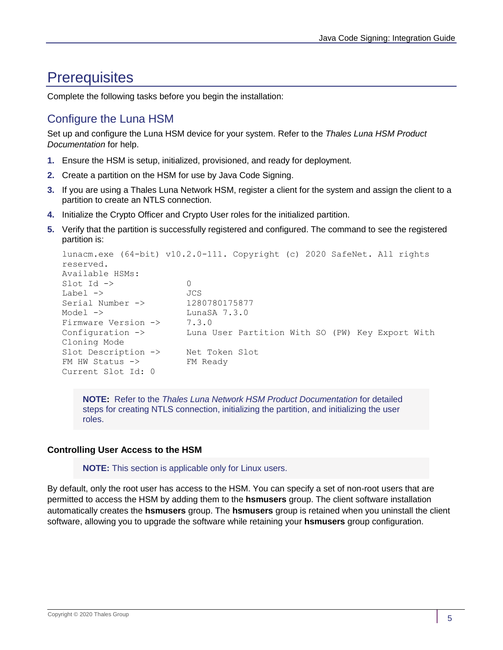## <span id="page-4-0"></span>**Prerequisites**

Complete the following tasks before you begin the installation:

## <span id="page-4-1"></span>Configure the Luna HSM

Set up and configure the Luna HSM device for your system. Refer to the *Thales Luna HSM Product Documentation* for help.

- **1.** Ensure the HSM is setup, initialized, provisioned, and ready for deployment.
- **2.** Create a partition on the HSM for use by Java Code Signing.
- **3.** If you are using a Thales Luna Network HSM, register a client for the system and assign the client to a partition to create an NTLS connection.
- **4.** Initialize the Crypto Officer and Crypto User roles for the initialized partition.
- **5.** Verify that the partition is successfully registered and configured. The command to see the registered partition is:

```
lunacm.exe (64-bit) v10.2.0-111. Copyright (c) 2020 SafeNet. All rights
reserved.
Available HSMs:
Slot Id \rightarrow 0
Label -> JCS
Serial Number -> 1280780175877
Model -> LunaSA 7.3.0
Firmware Version -> 7.3.0
Configuration -> Luna User Partition With SO (PW) Key Export With
Cloning Mode
Slot Description -> Net Token Slot
FM HW Status -> FM Ready
Current Slot Id: 0
```
**NOTE:** Refer to the *Thales Luna Network HSM Product Documentation* for detailed steps for creating NTLS connection, initializing the partition, and initializing the user roles.

## **Controlling User Access to the HSM**

**NOTE:** This section is applicable only for Linux users.

By default, only the root user has access to the HSM. You can specify a set of non-root users that are permitted to access the HSM by adding them to the **hsmusers** group. The client software installation automatically creates the **hsmusers** group. The **hsmusers** group is retained when you uninstall the client software, allowing you to upgrade the software while retaining your **hsmusers** group configuration.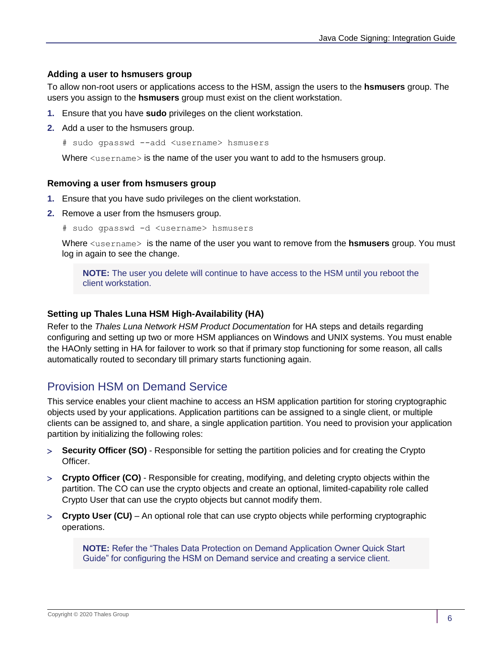## **Adding a user to hsmusers group**

To allow non-root users or applications access to the HSM, assign the users to the **hsmusers** group. The users you assign to the **hsmusers** group must exist on the client workstation.

- **1.** Ensure that you have **sudo** privileges on the client workstation.
- **2.** Add a user to the hsmusers group.
	- # sudo gpasswd --add <username> hsmusers

Where  $\langle$ username> is the name of the user you want to add to the hsmusers group.

## **Removing a user from hsmusers group**

- **1.** Ensure that you have sudo privileges on the client workstation.
- **2.** Remove a user from the hsmusers group.
	- # sudo gpasswd -d <username> hsmusers

Where <username> is the name of the user you want to remove from the **hsmusers** group. You must log in again to see the change.

**NOTE:** The user you delete will continue to have access to the HSM until you reboot the client workstation.

## **Setting up Thales Luna HSM High-Availability (HA)**

Refer to the *Thales Luna Network HSM Product Documentation* for HA steps and details regarding configuring and setting up two or more HSM appliances on Windows and UNIX systems. You must enable the HAOnly setting in HA for failover to work so that if primary stop functioning for some reason, all calls automatically routed to secondary till primary starts functioning again.

## <span id="page-5-0"></span>Provision HSM on Demand Service

This service enables your client machine to access an HSM application partition for storing cryptographic objects used by your applications. Application partitions can be assigned to a single client, or multiple clients can be assigned to, and share, a single application partition. You need to provision your application partition by initializing the following roles:

- **Security Officer (SO)** Responsible for setting the partition policies and for creating the Crypto Officer.
- **Crypto Officer (CO)** Responsible for creating, modifying, and deleting crypto objects within the partition. The CO can use the crypto objects and create an optional, limited-capability role called Crypto User that can use the crypto objects but cannot modify them.
- **Crypto User (CU)**  An optional role that can use crypto objects while performing cryptographic operations.

**NOTE:** Refer the "Thales Data Protection on Demand Application Owner Quick Start Guide" for configuring the HSM on Demand service and creating a service client.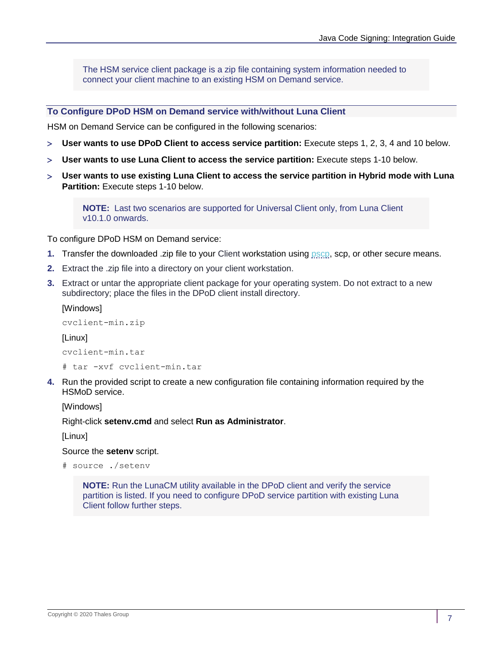The HSM service client package is a zip file containing system information needed to connect your client machine to an existing HSM on Demand service.

## **To Configure DPoD HSM on Demand service with/without Luna Client**

HSM on Demand Service can be configured in the following scenarios:

- **User wants to use DPoD Client to access service partition:** Execute steps 1, 2, 3, 4 and 10 below.
- **User wants to use Luna Client to access the service partition:** Execute steps 1-10 below.
- **User wants to use existing Luna Client to access the service partition in Hybrid mode with Luna Partition:** Execute steps 1-10 below.

**NOTE:** Last two scenarios are supported for Universal Client only, from Luna Client v10.1.0 onwards.

To configure DPoD HSM on Demand service:

- **1.** Transfer the downloaded .zip file to your Client workstation using [pscp,](https://thalesdocs.com/gphsm/luna/10.2/docs/network/Content/Utilities/pscp.htm) scp, or other secure means.
- **2.** Extract the .zip file into a directory on your client workstation.
- **3.** Extract or untar the appropriate client package for your operating system. Do not extract to a new subdirectory; place the files in the DPoD client install directory.

[Windows]

```
cvclient-min.zip
[Linux]
cvclient-min.tar
# tar -xvf cvclient-min.tar
```
**4.** Run the provided script to create a new configuration file containing information required by the HSMoD service.

[Windows]

Right-click **setenv.cmd** and select **Run as Administrator**.

[Linux]

Source the **setenv** script.

```
# source ./setenv
```
**NOTE:** Run the LunaCM utility available in the DPoD client and verify the service partition is listed. If you need to configure DPoD service partition with existing Luna Client follow further steps.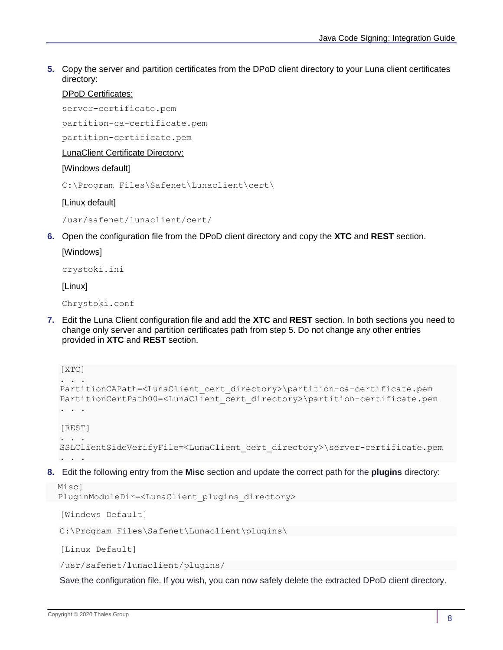**5.** Copy the server and partition certificates from the DPoD client directory to your Luna client certificates directory:

## DPoD Certificates:

server-certificate.pem

partition-ca-certificate.pem

partition-certificate.pem

LunaClient Certificate Directory:

## [Windows default]

C:\Program Files\Safenet\Lunaclient\cert\

[Linux default]

/usr/safenet/lunaclient/cert/

**6.** Open the configuration file from the DPoD client directory and copy the **XTC** and **REST** section.

## [Windows]

crystoki.ini

[Linux]

Chrystoki.conf

**7.** Edit the Luna Client configuration file and add the **XTC** and **REST** section. In both sections you need to change only server and partition certificates path from step 5. Do not change any other entries provided in **XTC** and **REST** section.

```
[XTC]
. . . 
PartitionCAPath=<LunaClient_cert_directory>\partition-ca-certificate.pem
PartitionCertPath00=<LunaClient_cert_directory>\partition-certificate.pem
. . .
[REST]
. . .
SSLClientSideVerifyFile=<LunaClient_cert_directory>\server-certificate.pem
. . .
```
**8.** Edit the following entry from the **Misc** section and update the correct path for the **plugins** directory:

```
 Misc]
PluginModuleDir=<LunaClient plugins directory>
```
[Windows Default]

C:\Program Files\Safenet\Lunaclient\plugins\

[Linux Default]

/usr/safenet/lunaclient/plugins/

Save the configuration file. If you wish, you can now safely delete the extracted DPoD client directory.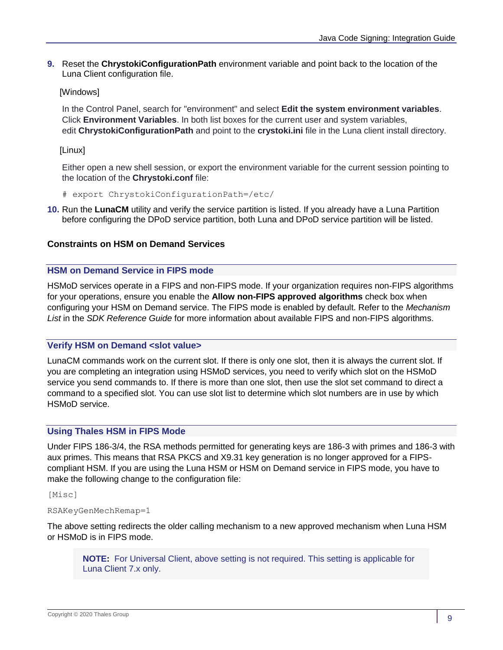**9.** Reset the **ChrystokiConfigurationPath** environment variable and point back to the location of the Luna Client configuration file.

## [Windows]

In the Control Panel, search for "environment" and select **Edit the system environment variables**. Click **Environment Variables**. In both list boxes for the current user and system variables, edit **ChrystokiConfigurationPath** and point to the **crystoki.ini** file in the Luna client install directory.

[Linux]

Either open a new shell session, or export the environment variable for the current session pointing to the location of the **Chrystoki.conf** file:

# export ChrystokiConfigurationPath=/etc/

**10.** Run the **LunaCM** utility and verify the service partition is listed. If you already have a Luna Partition before configuring the DPoD service partition, both Luna and DPoD service partition will be listed.

## **Constraints on HSM on Demand Services**

## **HSM on Demand Service in FIPS mode**

HSMoD services operate in a FIPS and non-FIPS mode. If your organization requires non-FIPS algorithms for your operations, ensure you enable the **Allow non-FIPS approved algorithms** check box when configuring your HSM on Demand service. The FIPS mode is enabled by default. Refer to the *Mechanism List* in the *SDK Reference Guide* for more information about available FIPS and non-FIPS algorithms.

## **Verify HSM on Demand <slot value>**

LunaCM commands work on the current slot. If there is only one slot, then it is always the current slot. If you are completing an integration using HSMoD services, you need to verify which slot on the HSMoD service you send commands to. If there is more than one slot, then use the slot set command to direct a command to a specified slot. You can use slot list to determine which slot numbers are in use by which HSMoD service.

## **Using Thales HSM in FIPS Mode**

Under FIPS 186-3/4, the RSA methods permitted for generating keys are 186-3 with primes and 186-3 with aux primes. This means that RSA PKCS and X9.31 key generation is no longer approved for a FIPScompliant HSM. If you are using the Luna HSM or HSM on Demand service in FIPS mode, you have to make the following change to the configuration file:

[Misc]

### RSAKeyGenMechRemap=1

The above setting redirects the older calling mechanism to a new approved mechanism when Luna HSM or HSMoD is in FIPS mode.

**NOTE:** For Universal Client, above setting is not required. This setting is applicable for Luna Client 7.x only.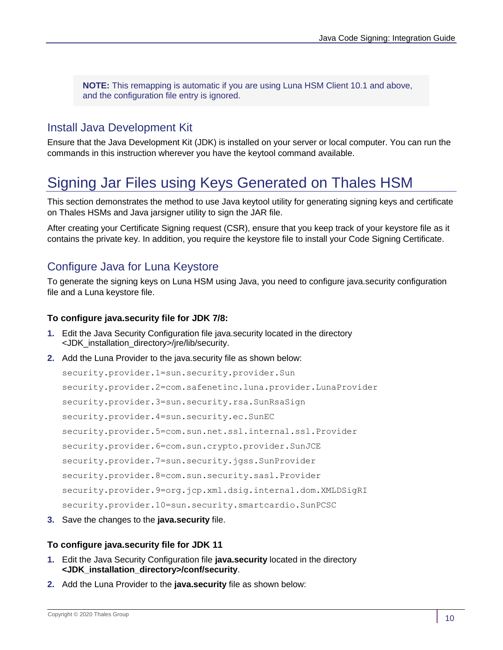**NOTE:** This remapping is automatic if you are using Luna HSM Client 10.1 and above, and the configuration file entry is ignored.

## <span id="page-9-0"></span>Install Java Development Kit

Ensure that the Java Development Kit (JDK) is installed on your server or local computer. You can run the commands in this instruction wherever you have the keytool command available.

## <span id="page-9-1"></span>Signing Jar Files using Keys Generated on Thales HSM

This section demonstrates the method to use Java keytool utility for generating signing keys and certificate on Thales HSMs and Java jarsigner utility to sign the JAR file.

After creating your Certificate Signing request (CSR), ensure that you keep track of your keystore file as it contains the private key. In addition, you require the keystore file to install your Code Signing Certificate.

## <span id="page-9-2"></span>Configure Java for Luna Keystore

To generate the signing keys on Luna HSM using Java, you need to configure java.security configuration file and a Luna keystore file.

## **To configure java.security file for JDK 7/8:**

- **1.** Edit the Java Security Configuration file java.security located in the directory <JDK\_installation\_directory>/jre/lib/security.
- **2.** Add the Luna Provider to the java.security file as shown below:

```
security.provider.1=sun.security.provider.Sun
security.provider.2=com.safenetinc.luna.provider.LunaProvider
security.provider.3=sun.security.rsa.SunRsaSign
security.provider.4=sun.security.ec.SunEC
security.provider.5=com.sun.net.ssl.internal.ssl.Provider
security.provider.6=com.sun.crypto.provider.SunJCE
security.provider.7=sun.security.jgss.SunProvider
security.provider.8=com.sun.security.sasl.Provider
security.provider.9=org.jcp.xml.dsig.internal.dom.XMLDSigRI
security.provider.10=sun.security.smartcardio.SunPCSC
```
**3.** Save the changes to the **java.security** file.

## **To configure java.security file for JDK 11**

- **1.** Edit the Java Security Configuration file **java.security** located in the directory **<JDK\_installation\_directory>/conf/security**.
- **2.** Add the Luna Provider to the **java.security** file as shown below: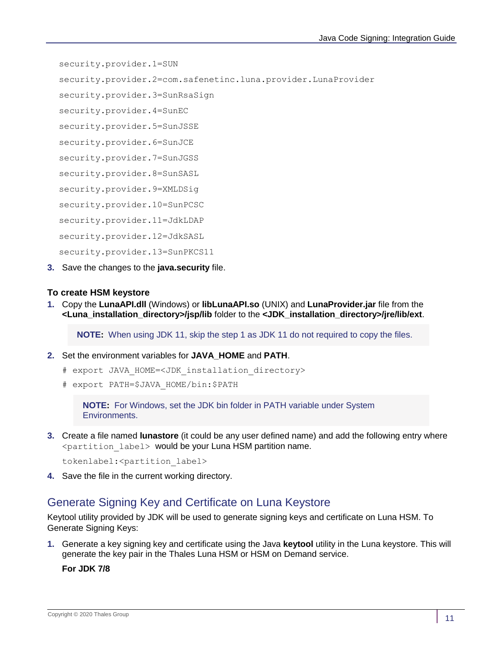security.provider.1=SUN

security.provider.2=com.safenetinc.luna.provider.LunaProvider

security.provider.3=SunRsaSign

security.provider.4=SunEC

security.provider.5=SunJSSE

security.provider.6=SunJCE

security.provider.7=SunJGSS

security.provider.8=SunSASL

security.provider.9=XMLDSig

security.provider.10=SunPCSC

security.provider.11=JdkLDAP

security.provider.12=JdkSASL

security.provider.13=SunPKCS11

**3.** Save the changes to the **java.security** file.

## **To create HSM keystore**

**1.** Copy the **LunaAPI.dll** (Windows) or **libLunaAPI.so** (UNIX) and **LunaProvider.jar** file from the **<Luna\_installation\_directory>/jsp/lib** folder to the **<JDK\_installation\_directory>/jre/lib/ext**.

**NOTE:** When using JDK 11, skip the step 1 as JDK 11 do not required to copy the files.

- **2.** Set the environment variables for **JAVA\_HOME** and **PATH**.
	- # export JAVA HOME=<JDK installation directory>
	- # export PATH=\$JAVA\_HOME/bin:\$PATH

**NOTE:** For Windows, set the JDK bin folder in PATH variable under System Environments.

**3.** Create a file named **lunastore** (it could be any user defined name) and add the following entry where <partition\_label> would be your Luna HSM partition name.

tokenlabel:<partition label>

**4.** Save the file in the current working directory.

## <span id="page-10-0"></span>Generate Signing Key and Certificate on Luna Keystore

Keytool utility provided by JDK will be used to generate signing keys and certificate on Luna HSM. To Generate Signing Keys:

**1.** Generate a key signing key and certificate using the Java **keytool** utility in the Luna keystore. This will generate the key pair in the Thales Luna HSM or HSM on Demand service.

**For JDK 7/8**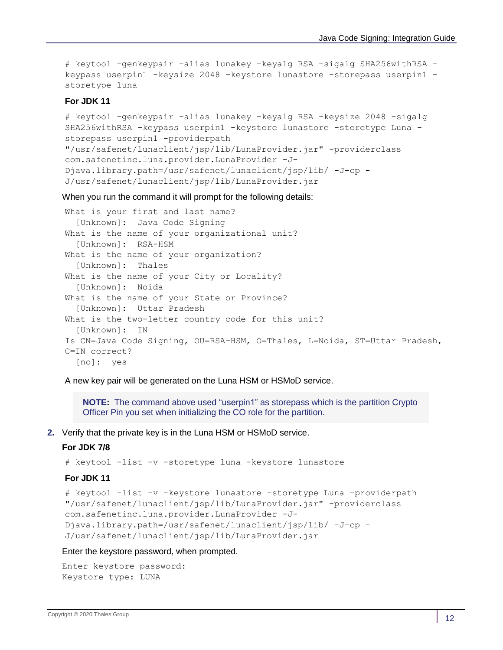# keytool -genkeypair -alias lunakey -keyalg RSA -sigalg SHA256withRSA keypass userpin1 -keysize 2048 -keystore lunastore -storepass userpin1 storetype luna

### **For JDK 11**

```
# keytool -genkeypair -alias lunakey -keyalg RSA -keysize 2048 -sigalg 
SHA256withRSA -keypass userpin1 -keystore lunastore -storetype Luna -
storepass userpin1 -providerpath 
"/usr/safenet/lunaclient/jsp/lib/LunaProvider.jar" -providerclass 
com.safenetinc.luna.provider.LunaProvider -J-
Djava.library.path=/usr/safenet/lunaclient/jsp/lib/ -J-cp -
J/usr/safenet/lunaclient/jsp/lib/LunaProvider.jar
```
When you run the command it will prompt for the following details:

```
What is your first and last name?
   [Unknown]: Java Code Signing
What is the name of your organizational unit?
   [Unknown]: RSA-HSM
What is the name of your organization?
   [Unknown]: Thales
What is the name of your City or Locality?
   [Unknown]: Noida
What is the name of your State or Province?
   [Unknown]: Uttar Pradesh
What is the two-letter country code for this unit?
   [Unknown]: IN
Is CN=Java Code Signing, OU=RSA-HSM, O=Thales, L=Noida, ST=Uttar Pradesh, 
C=IN correct?
   [no]: yes
```
A new key pair will be generated on the Luna HSM or HSMoD service.

**NOTE:** The command above used "userpin1" as storepass which is the partition Crypto Officer Pin you set when initializing the CO role for the partition.

**2.** Verify that the private key is in the Luna HSM or HSMoD service.

#### **For JDK 7/8**

# keytool -list -v -storetype luna -keystore lunastore

#### **For JDK 11**

```
# keytool -list -v -keystore lunastore -storetype Luna -providerpath 
"/usr/safenet/lunaclient/jsp/lib/LunaProvider.jar" -providerclass 
com.safenetinc.luna.provider.LunaProvider -J-
Djava.library.path=/usr/safenet/lunaclient/jsp/lib/ -J-cp -
J/usr/safenet/lunaclient/jsp/lib/LunaProvider.jar
```
#### Enter the keystore password, when prompted.

```
Enter keystore password:
Keystore type: LUNA
```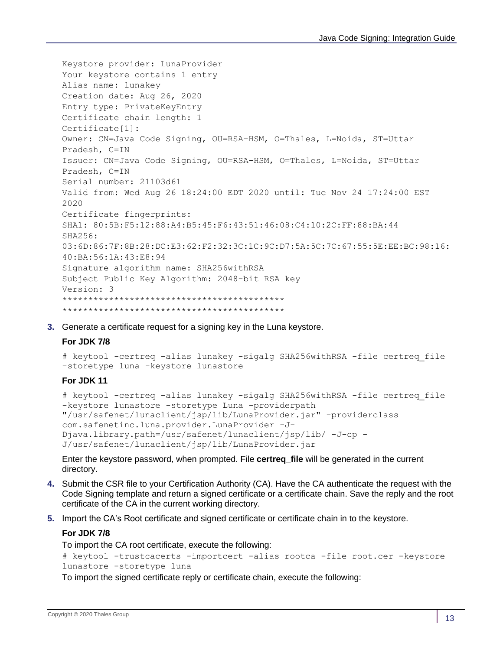```
Keystore provider: LunaProvider
Your keystore contains 1 entry
Alias name: lunakey
Creation date: Aug 26, 2020
Entry type: PrivateKeyEntry
Certificate chain length: 1
Certificate[1]:
Owner: CN=Java Code Signing, OU=RSA-HSM, O=Thales, L=Noida, ST=Uttar 
Pradesh, C=IN
Issuer: CN=Java Code Signing, OU=RSA-HSM, O=Thales, L=Noida, ST=Uttar 
Pradesh, C=IN
Serial number: 21103d61
Valid from: Wed Aug 26 18:24:00 EDT 2020 until: Tue Nov 24 17:24:00 EST 
2020
Certificate fingerprints:
SHA1: 80:5B:F5:12:88:A4:B5:45:F6:43:51:46:08:C4:10:2C:FF:88:BA:44
SHA256: 
03:6D:86:7F:8B:28:DC:E3:62:F2:32:3C:1C:9C:D7:5A:5C:7C:67:55:5E:EE:BC:98:16:
40:BA:56:1A:43:E8:94
Signature algorithm name: SHA256withRSA
Subject Public Key Algorithm: 2048-bit RSA key
Version: 3
*******************************************
*******************************************
```
**3.** Generate a certificate request for a signing key in the Luna keystore.

### **For JDK 7/8**

```
# keytool -certreq -alias lunakey -sigalg SHA256withRSA -file certreq_file 
-storetype luna -keystore lunastore
```
## **For JDK 11**

```
# keytool -certreq -alias lunakey -sigalg SHA256withRSA -file certreq_file 
-keystore lunastore -storetype Luna -providerpath 
"/usr/safenet/lunaclient/jsp/lib/LunaProvider.jar" -providerclass 
com.safenetinc.luna.provider.LunaProvider -J-
Djava.library.path=/usr/safenet/lunaclient/jsp/lib/ -J-cp -
J/usr/safenet/lunaclient/jsp/lib/LunaProvider.jar
```
Enter the keystore password, when prompted. File **certreq\_file** will be generated in the current directory.

- **4.** Submit the CSR file to your Certification Authority (CA). Have the CA authenticate the request with the Code Signing template and return a signed certificate or a certificate chain. Save the reply and the root certificate of the CA in the current working directory.
- **5.** Import the CA's Root certificate and signed certificate or certificate chain in to the keystore.

#### **For JDK 7/8**

To import the CA root certificate, execute the following:

```
# keytool -trustcacerts -importcert -alias rootca -file root.cer -keystore 
lunastore -storetype luna
```
To import the signed certificate reply or certificate chain, execute the following: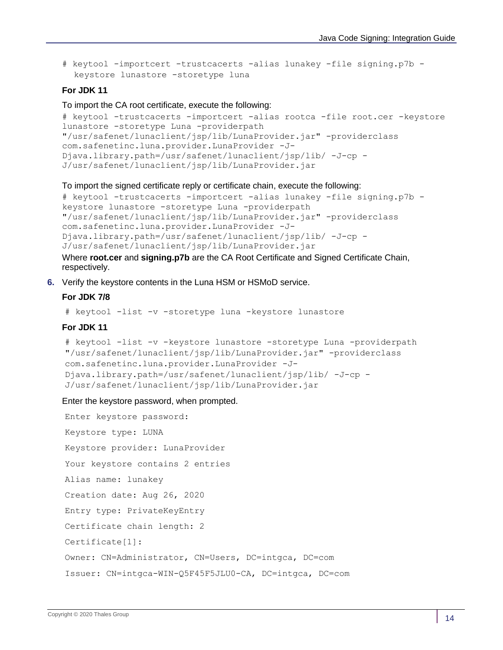```
# keytool -importcert -trustcacerts -alias lunakey -file signing.p7b -
  keystore lunastore -storetype luna
```
#### **For JDK 11**

To import the CA root certificate, execute the following:

```
# keytool -trustcacerts -importcert -alias rootca -file root.cer -keystore 
lunastore -storetype Luna -providerpath 
"/usr/safenet/lunaclient/jsp/lib/LunaProvider.jar" -providerclass 
com.safenetinc.luna.provider.LunaProvider -J-
Djava.library.path=/usr/safenet/lunaclient/jsp/lib/ -J-cp -
J/usr/safenet/lunaclient/jsp/lib/LunaProvider.jar
```
To import the signed certificate reply or certificate chain, execute the following:

```
# keytool -trustcacerts -importcert -alias lunakey -file signing.p7b -
keystore lunastore -storetype Luna -providerpath 
"/usr/safenet/lunaclient/jsp/lib/LunaProvider.jar" -providerclass 
com.safenetinc.luna.provider.LunaProvider -J-
Djava.library.path=/usr/safenet/lunaclient/jsp/lib/ -J-cp -
J/usr/safenet/lunaclient/jsp/lib/LunaProvider.jar
```
Where **root.cer** and **signing.p7b** are the CA Root Certificate and Signed Certificate Chain, respectively.

**6.** Verify the keystore contents in the Luna HSM or HSMoD service.

## **For JDK 7/8**

```
# keytool -list -v -storetype luna -keystore lunastore
```
## **For JDK 11**

```
# keytool -list -v -keystore lunastore -storetype Luna -providerpath 
"/usr/safenet/lunaclient/jsp/lib/LunaProvider.jar" -providerclass 
com.safenetinc.luna.provider.LunaProvider -J-
Djava.library.path=/usr/safenet/lunaclient/jsp/lib/ -J-cp -
J/usr/safenet/lunaclient/jsp/lib/LunaProvider.jar
```
#### Enter the keystore password, when prompted.

```
Enter keystore password:
Keystore type: LUNA
Keystore provider: LunaProvider
Your keystore contains 2 entries
Alias name: lunakey
Creation date: Aug 26, 2020
Entry type: PrivateKeyEntry
Certificate chain length: 2
Certificate[1]:
Owner: CN=Administrator, CN=Users, DC=intgca, DC=com
Issuer: CN=intgca-WIN-Q5F45F5JLU0-CA, DC=intgca, DC=com
```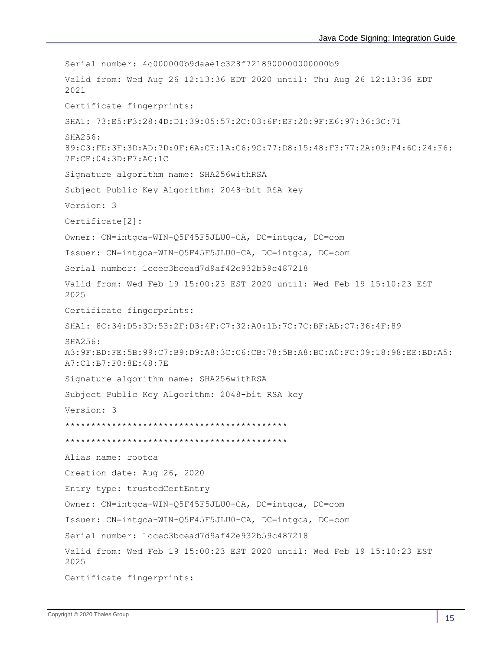Serial number: 4c000000b9daae1c328f7218900000000000b9 Valid from: Wed Aug 26 12:13:36 EDT 2020 until: Thu Aug 26 12:13:36 EDT 2021 Certificate fingerprints: SHA1: 73:E5:F3:28:4D:D1:39:05:57:2C:03:6F:EF:20:9F:E6:97:36:3C:71 SHA256: 89:C3:FE:3F:3D:AD:7D:0F:6A:CE:1A:C6:9C:77:D8:15:48:F3:77:2A:09:F4:6C:24:F6: 7F:CE:04:3D:F7:AC:1C Signature algorithm name: SHA256withRSA Subject Public Key Algorithm: 2048-bit RSA key Version: 3 Certificate[2]: Owner: CN=intgca-WIN-Q5F45F5JLU0-CA, DC=intgca, DC=com Issuer: CN=intgca-WIN-Q5F45F5JLU0-CA, DC=intgca, DC=com Serial number: 1ccec3bcead7d9af42e932b59c487218 Valid from: Wed Feb 19 15:00:23 EST 2020 until: Wed Feb 19 15:10:23 EST 2025 Certificate fingerprints: SHA1: 8C:34:D5:3D:53:2F:D3:4F:C7:32:A0:1B:7C:7C:BF:AB:C7:36:4F:89 SHA256: A3:9F:BD:FE:5B:99:C7:B9:D9:A8:3C:C6:CB:78:5B:A8:BC:A0:FC:09:18:98:EE:BD:A5: A7:C1:B7:F0:8E:48:7E Signature algorithm name: SHA256withRSA Subject Public Key Algorithm: 2048-bit RSA key Version: 3 \*\*\*\*\*\*\*\*\*\*\*\*\*\*\*\*\*\*\*\*\*\*\*\*\*\*\*\*\*\*\*\*\*\*\*\*\*\*\*\*\*\*\* \*\*\*\*\*\*\*\*\*\*\*\*\*\*\*\*\*\*\*\*\*\*\*\*\*\*\*\*\*\*\*\*\*\*\*\*\*\*\*\*\*\*\* Alias name: rootca Creation date: Aug 26, 2020 Entry type: trustedCertEntry Owner: CN=intgca-WIN-Q5F45F5JLU0-CA, DC=intgca, DC=com Issuer: CN=intgca-WIN-Q5F45F5JLU0-CA, DC=intgca, DC=com Serial number: 1ccec3bcead7d9af42e932b59c487218 Valid from: Wed Feb 19 15:00:23 EST 2020 until: Wed Feb 19 15:10:23 EST 2025 Certificate fingerprints: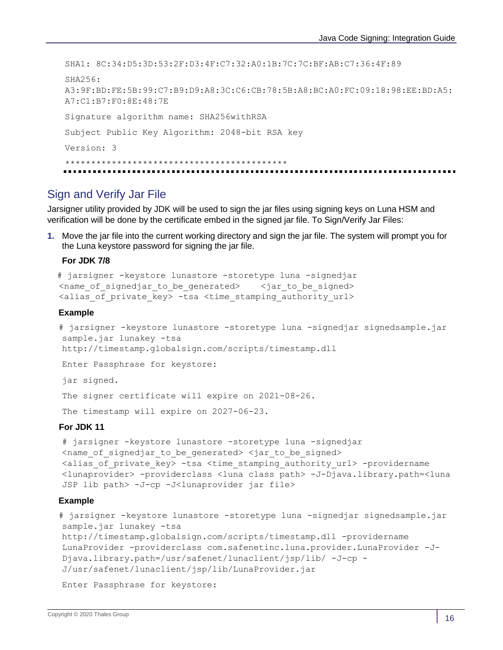SHA1: 8C:34:D5:3D:53:2F:D3:4F:C7:32:A0:1B:7C:7C:BF:AB:C7:36:4F:89  $SHA256$ A3:9F:BD:FE:5B:99:C7:B9:D9:A8:3C:C6:CB:78:5B:A8:BC:A0:FC:09:18:98:EE:BD:A5: A7:C1:B7:F0:8E:48:7E Signature algorithm name: SHA256withRSA Subject Public Key Algorithm: 2048-bit RSA key Version: 3 \*\*\*\*\*\*\*\*\*\*\*\*\*\*\*\*\*\*\*\*\*\*\*\*\*\*\*\*\*\*\*\*\*\*\*\*\*\*\*\*\*\*\*

## <span id="page-15-0"></span>Sign and Verify Jar File

Jarsigner utility provided by JDK will be used to sign the jar files using signing keys on Luna HSM and verification will be done by the certificate embed in the signed jar file. To Sign/Verify Jar Files:

**1.** Move the jar file into the current working directory and sign the jar file. The system will prompt you for the Luna keystore password for signing the jar file.

### **For JDK 7/8**

```
 # jarsigner -keystore lunastore -storetype luna -signedjar 
<name of signedjar to be generated> <jar to be signed>
<alias of private key> -tsa <time stamping authority url>
```
#### **Example**

```
# jarsigner -keystore lunastore -storetype luna -signedjar signedsample.jar 
sample.jar lunakey -tsa
http://timestamp.globalsign.com/scripts/timestamp.dll
```
Enter Passphrase for keystore:

jar signed.

The signer certificate will expire on 2021-08-26.

The timestamp will expire on 2027-06-23.

#### **For JDK 11**

```
# jarsigner -keystore lunastore -storetype luna -signedjar 
<name of signedjar to be generated> <jar to be signed>
<alias_of_private_key> -tsa <time_stamping_authority_url> -providername
<lunaprovider> -providerclass <luna class path> -J-Djava.library.path=<luna 
JSP lib path> -J-cp -J<lunaprovider jar file>
```
#### **Example**

```
# jarsigner -keystore lunastore -storetype luna -signedjar signedsample.jar 
sample.jar lunakey -tsa
http://timestamp.globalsign.com/scripts/timestamp.dll -providername 
LunaProvider -providerclass com.safenetinc.luna.provider.LunaProvider -J-
Djava.library.path=/usr/safenet/lunaclient/jsp/lib/ -J-cp -
J/usr/safenet/lunaclient/jsp/lib/LunaProvider.jar
```
Enter Passphrase for keystore: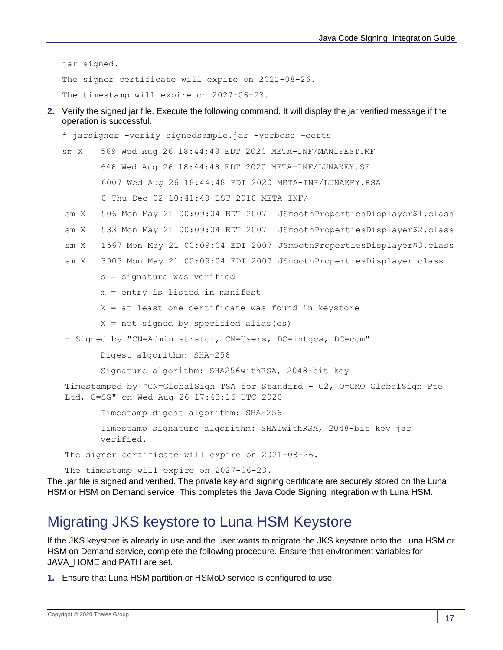jar signed.

The signer certificate will expire on 2021-08-26.

The timestamp will expire on 2027-06-23.

**2.** Verify the signed jar file. Execute the following command. It will display the jar verified message if the operation is successful.

```
# jarsigner -verify signedsample.jar -verbose –certs
sm X 569 Wed Aug 26 18:44:48 EDT 2020 META-INF/MANIFEST.MF
       646 Wed Aug 26 18:44:48 EDT 2020 META-INF/LUNAKEY.SF
        6007 Wed Aug 26 18:44:48 EDT 2020 META-INF/LUNAKEY.RSA
        0 Thu Dec 02 10:41:40 EST 2010 META-INF/
sm X 506 Mon May 21 00:09:04 EDT 2007 JSmoothPropertiesDisplayer$1.class
sm X 533 Mon May 21 00:09:04 EDT 2007 JSmoothPropertiesDisplayer$2.class
sm X 1567 Mon May 21 00:09:04 EDT 2007 JSmoothPropertiesDisplayer$3.class
sm X 3905 Mon May 21 00:09:04 EDT 2007 JSmoothPropertiesDisplayer.class
        s = signature was verified
        m = entry is listed in manifest
       k = at least one certificate was found in keystore
       X = not signed by specified alias(es)- Signed by "CN=Administrator, CN=Users, DC=intgca, DC=com"
        Digest algorithm: SHA-256
        Signature algorithm: SHA256withRSA, 2048-bit key
Timestamped by "CN=GlobalSign TSA for Standard - G2, O=GMO GlobalSign Pte 
Ltd, C=SG" on Wed Aug 26 17:43:16 UTC 2020
        Timestamp digest algorithm: SHA-256
        Timestamp signature algorithm: SHA1withRSA, 2048-bit key jar 
       verified.
The signer certificate will expire on 2021-08-26.
The timestamp will expire on 2027-06-23.
```
The .jar file is signed and verified. The private key and signing certificate are securely stored on the Luna HSM or HSM on Demand service. This completes the Java Code Signing integration with Luna HSM.

## <span id="page-16-0"></span>Migrating JKS keystore to Luna HSM Keystore

If the JKS keystore is already in use and the user wants to migrate the JKS keystore onto the Luna HSM or HSM on Demand service, complete the following procedure. Ensure that environment variables for JAVA\_HOME and PATH are set.

**1.** Ensure that Luna HSM partition or HSMoD service is configured to use.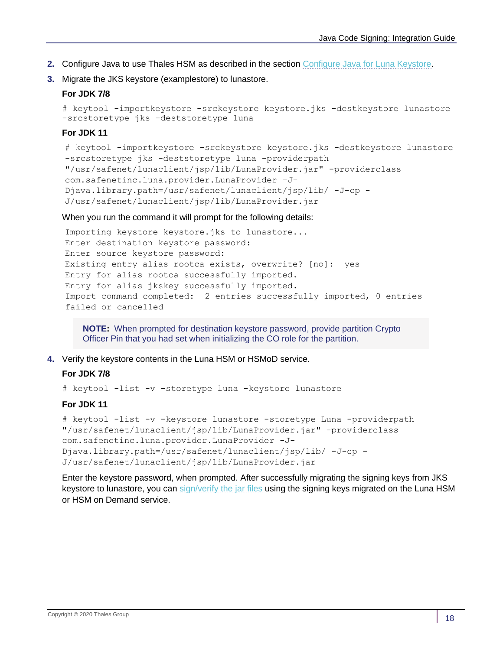- **2.** Configure Java to use Thales HSM as described in the section [Configure Java for Luna Keystore.](#page-9-2)
- **3.** Migrate the JKS keystore (examplestore) to lunastore.

## **For JDK 7/8**

```
# keytool -importkeystore -srckeystore keystore.jks -destkeystore lunastore 
-srcstoretype jks -deststoretype luna
```
## **For JDK 11**

```
# keytool -importkeystore -srckeystore keystore.jks -destkeystore lunastore 
-srcstoretype jks -deststoretype luna -providerpath 
"/usr/safenet/lunaclient/jsp/lib/LunaProvider.jar" -providerclass 
com.safenetinc.luna.provider.LunaProvider -J-
Djava.library.path=/usr/safenet/lunaclient/jsp/lib/ -J-cp -
J/usr/safenet/lunaclient/jsp/lib/LunaProvider.jar
```
When you run the command it will prompt for the following details:

```
Importing keystore keystore.jks to lunastore...
Enter destination keystore password:
Enter source keystore password:
Existing entry alias rootca exists, overwrite? [no]: yes
Entry for alias rootca successfully imported.
Entry for alias jkskey successfully imported.
Import command completed: 2 entries successfully imported, 0 entries 
failed or cancelled
```
**NOTE:** When prompted for destination keystore password, provide partition Crypto Officer Pin that you had set when initializing the CO role for the partition.

**4.** Verify the keystore contents in the Luna HSM or HSMoD service.

## **For JDK 7/8**

# keytool -list -v -storetype luna -keystore lunastore

## **For JDK 11**

```
# keytool -list -v -keystore lunastore -storetype Luna -providerpath 
"/usr/safenet/lunaclient/jsp/lib/LunaProvider.jar" -providerclass 
com.safenetinc.luna.provider.LunaProvider -J-
Djava.library.path=/usr/safenet/lunaclient/jsp/lib/ -J-cp -
J/usr/safenet/lunaclient/jsp/lib/LunaProvider.jar
```
Enter the keystore password, when prompted. After successfully migrating the signing keys from JKS keystore to lunastore, you can sign/verify the jar files using the signing keys migrated on the Luna HSM or HSM on Demand service.